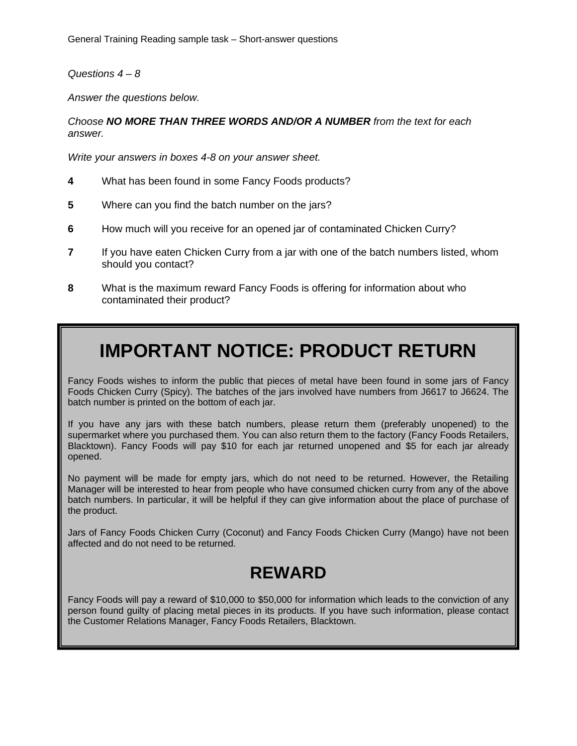*Questions 4 – 8* 

*Answer the questions below.* 

*Choose NO MORE THAN THREE WORDS AND/OR A NUMBER from the text for each answer.* 

*Write your answers in boxes 4-8 on your answer sheet.* 

- **4** What has been found in some Fancy Foods products?
- **5** Where can you find the batch number on the jars?
- **6** How much will you receive for an opened jar of contaminated Chicken Curry?
- **7** If you have eaten Chicken Curry from a jar with one of the batch numbers listed, whom should you contact?
- **8** What is the maximum reward Fancy Foods is offering for information about who contaminated their product?

## **IMPORTANT NOTICE: PRODUCT RETURN**

Fancy Foods wishes to inform the public that pieces of metal have been found in some jars of Fancy Foods Chicken Curry (Spicy). The batches of the jars involved have numbers from J6617 to J6624. The batch number is printed on the bottom of each jar.

If you have any jars with these batch numbers, please return them (preferably unopened) to the supermarket where you purchased them. You can also return them to the factory (Fancy Foods Retailers, Blacktown). Fancy Foods will pay \$10 for each jar returned unopened and \$5 for each jar already opened.

No payment will be made for empty jars, which do not need to be returned. However, the Retailing Manager will be interested to hear from people who have consumed chicken curry from any of the above batch numbers. In particular, it will be helpful if they can give information about the place of purchase of the product.

Jars of Fancy Foods Chicken Curry (Coconut) and Fancy Foods Chicken Curry (Mango) have not been affected and do not need to be returned.

## **REWARD**

Fancy Foods will pay a reward of \$10,000 to \$50,000 for information which leads to the conviction of any person found guilty of placing metal pieces in its products. If you have such information, please contact the Customer Relations Manager, Fancy Foods Retailers, Blacktown.